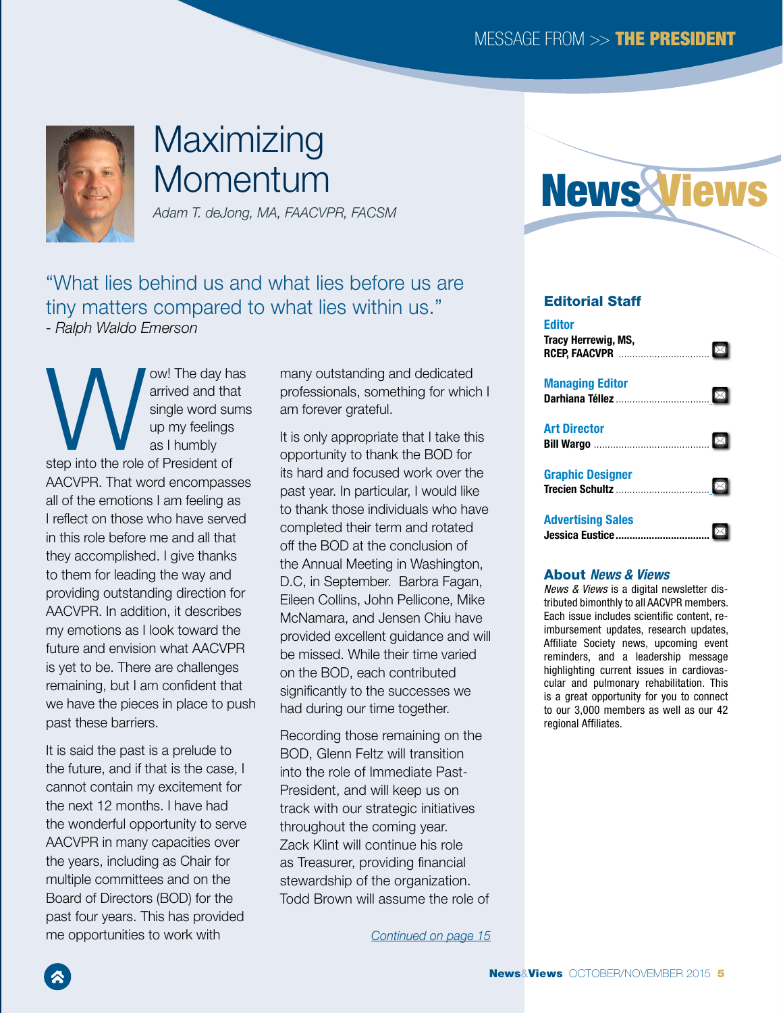

# Maximizing **Momentum**

*Adam T. deJong, MA, FAACVPR, FACSM*

"What lies behind us and what lies before us are tiny matters compared to what lies within us." *- Ralph Waldo Emerson*

W. The day has<br>
arrived and that<br>
single word sums<br>
up my feelings<br>
as I humbly<br>
step into the role of President of arrived and that single word sums up my feelings as I humbly AACVPR. That word encompasses all of the emotions I am feeling as I reflect on those who have served in this role before me and all that they accomplished. I give thanks to them for leading the way and providing outstanding direction for AACVPR. In addition, it describes my emotions as I look toward the future and envision what AACVPR is yet to be. There are challenges remaining, but I am confident that we have the pieces in place to push past these barriers.

It is said the past is a prelude to the future, and if that is the case, I cannot contain my excitement for the next 12 months. I have had the wonderful opportunity to serve AACVPR in many capacities over the years, including as Chair for multiple committees and on the Board of Directors (BOD) for the past four years. This has provided me opportunities to work with

many outstanding and dedicated professionals, something for which I am forever grateful.

It is only appropriate that I take this opportunity to thank the BOD for its hard and focused work over the past year. In particular, I would like to thank those individuals who have completed their term and rotated off the BOD at the conclusion of the Annual Meeting in Washington, D.C, in September. Barbra Fagan, Eileen Collins, John Pellicone, Mike McNamara, and Jensen Chiu have provided excellent guidance and will be missed. While their time varied on the BOD, each contributed significantly to the successes we had during our time together.

Recording those remaining on the BOD, Glenn Feltz will transition into the role of Immediate Past-President, and will keep us on track with our strategic initiatives throughout the coming year. Zack Klint will continue his role as Treasurer, providing financial stewardship of the organization. Todd Brown will assume the role of

*Continued on page 15*



### Editorial Staff

| <b>Editor</b><br>Tracy Herrewig, MS,<br>насу неп сwig, №э,<br>RCEP, FAACVPR ……………………………… ⊠ |  |
|--------------------------------------------------------------------------------------------|--|
| <b>Managing Editor</b>                                                                     |  |
|                                                                                            |  |
| <b>Art Director</b>                                                                        |  |
|                                                                                            |  |
| <b>Graphic Designer</b>                                                                    |  |
|                                                                                            |  |
| <b>Advertising Sales</b>                                                                   |  |
|                                                                                            |  |

#### About *News & Views*

*News & Views* is a digital newsletter distributed bimonthly to all AACVPR members. Each issue includes scientific content, reimbursement updates, research updates, Affiliate Society news, upcoming event reminders, and a leadership message highlighting current issues in cardiovascular and pulmonary rehabilitation. This is a great opportunity for you to connect to our 3,000 members as well as our 42 regional Affiliates.